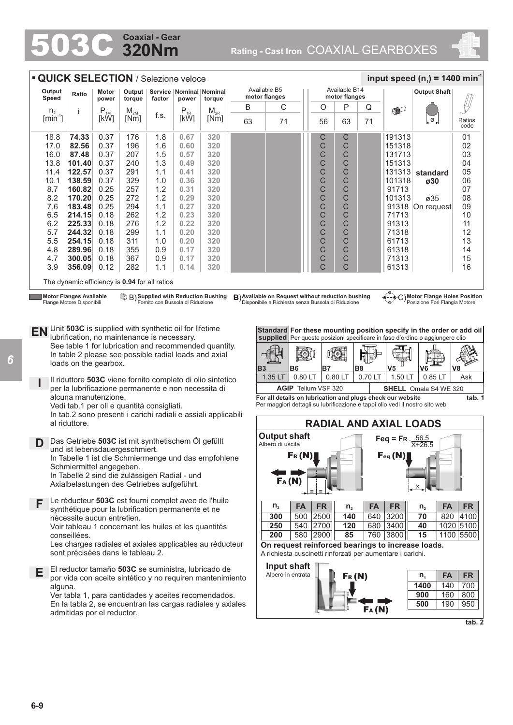# **320Nm Coaxial - Gear**

Rating - Cast Iron COAXIAL GEARBOXES



|                 |                                                                                                                                                                                                             |                | <b>QUICK SELECTION / Selezione veloce</b> |            |                                               |                                                                |           |                                         |                                                    |           |                                |                  |                                                                             | input speed $(n_1)$ = 1400 min <sup>-1</sup>                                                                                           |                                    |
|-----------------|-------------------------------------------------------------------------------------------------------------------------------------------------------------------------------------------------------------|----------------|-------------------------------------------|------------|-----------------------------------------------|----------------------------------------------------------------|-----------|-----------------------------------------|----------------------------------------------------|-----------|--------------------------------|------------------|-----------------------------------------------------------------------------|----------------------------------------------------------------------------------------------------------------------------------------|------------------------------------|
| Output<br>Speed | Ratio                                                                                                                                                                                                       | Motor<br>power | Output  <br>torque                        | factor     | Service   Nominal   Nominal<br>power          | torque                                                         |           | Available B5<br>motor flanges           |                                                    |           | Available B14<br>motor flanges |                  |                                                                             | <b>Output Shaft</b>                                                                                                                    |                                    |
| $n_{2}$         |                                                                                                                                                                                                             | $P_{1M}$       | $M_{2M}$                                  |            | $P_{1R}$                                      | $M_{2R}$                                                       | B         | С                                       |                                                    | O         | P                              | Q                | $\bullet$                                                                   |                                                                                                                                        |                                    |
| $[min^{-1}]$    |                                                                                                                                                                                                             | [kW]           | [Nm]                                      | f.s.       | [kW]                                          | [Nm]                                                           | 63        | 71                                      |                                                    | 56        | 63                             | 71               |                                                                             | ø.                                                                                                                                     | Ratios<br>code                     |
| 18.8            | 74.33                                                                                                                                                                                                       | 0.37           | 176                                       | 1.8        | 0.67                                          | 320                                                            |           |                                         |                                                    | С         | C                              |                  | 191313                                                                      |                                                                                                                                        | 01                                 |
| 17.0            | 82.56                                                                                                                                                                                                       | 0.37           | 196                                       | 1.6        | 0.60                                          | 320                                                            |           |                                         |                                                    | C         | C                              |                  | 151318                                                                      |                                                                                                                                        | 02                                 |
| 16.0            | 87.48                                                                                                                                                                                                       | 0.37           | 207                                       | 1.5        | 0.57                                          | 320                                                            |           |                                         |                                                    | C         | C                              |                  | 131713                                                                      |                                                                                                                                        | 03                                 |
| 13.8            | 101.40                                                                                                                                                                                                      | 0.37           | 240                                       | 1.3        | 0.49                                          | 320                                                            |           |                                         |                                                    | C         | $\mathsf{C}$                   |                  | 151313                                                                      |                                                                                                                                        | 04                                 |
| 11.4            | 122.57                                                                                                                                                                                                      | 0.37           | 291                                       | 1.1        | 0.41                                          | 320                                                            |           |                                         |                                                    | C         | C                              |                  | 131313                                                                      | standard                                                                                                                               | 05                                 |
| 10.1            | 138.59                                                                                                                                                                                                      | 0.37           | 329                                       | 1.0        | 0.36                                          | 320                                                            |           |                                         |                                                    | C         | C                              |                  | 101318                                                                      | ø30                                                                                                                                    | 06                                 |
| 8.7             | 160.82                                                                                                                                                                                                      | 0.25           | 257                                       | 1.2        | 0.31                                          | 320                                                            |           |                                         |                                                    | C         | $\mathsf{C}$                   |                  | 91713                                                                       |                                                                                                                                        | 07                                 |
| 8.2             | 170.20<br>183.48                                                                                                                                                                                            | 0.25<br>0.25   | 272<br>294                                | 1.2<br>1.1 | 0.29<br>0.27                                  | 320<br>320                                                     |           |                                         |                                                    | C<br>C    | C                              |                  | 101313                                                                      | ø35                                                                                                                                    | 08                                 |
| 7.6<br>6.5      | 214.15                                                                                                                                                                                                      | 0.18           | 262                                       | 1.2        | 0.23                                          | 320                                                            |           |                                         |                                                    | C         | C<br>С                         |                  | 71713                                                                       | 91318 On request                                                                                                                       | 09<br>10                           |
| 6.2             | 225.33                                                                                                                                                                                                      | 0.18           | 276                                       | 1.2        | 0.22                                          | 320                                                            |           |                                         |                                                    | C         | C                              |                  | 91313                                                                       |                                                                                                                                        | 11                                 |
| 5.7             | 244.32                                                                                                                                                                                                      | 0.18           | 299                                       | 1.1        | 0.20                                          | 320                                                            |           |                                         |                                                    | C         | C                              |                  | 71318                                                                       |                                                                                                                                        | 12                                 |
| 5.5             | 254.15                                                                                                                                                                                                      | 0.18           | 311                                       | 1.0        | 0.20                                          | 320                                                            |           |                                         |                                                    | C         | C                              |                  | 61713                                                                       |                                                                                                                                        | 13                                 |
| 4.8             | 289.96                                                                                                                                                                                                      | 0.18           | 355                                       | 0.9        | 0.17                                          | 320                                                            |           |                                         |                                                    | C         | C                              |                  | 61318                                                                       |                                                                                                                                        | 14                                 |
| 4.7             | 300.05                                                                                                                                                                                                      | 0.18           | 367                                       | 0.9        | 0.17                                          | 320                                                            |           |                                         |                                                    | C         | $\mathsf{C}$                   |                  | 71313                                                                       |                                                                                                                                        | 15                                 |
| 3.9             | 356.09                                                                                                                                                                                                      | 0.12           | 282                                       | 1.1        | 0.14                                          | 320                                                            |           |                                         |                                                    | C         | C                              |                  | 61313                                                                       |                                                                                                                                        | 16                                 |
|                 | The dynamic efficiency is 0.94 for all ratios                                                                                                                                                               |                |                                           |            |                                               |                                                                |           |                                         |                                                    |           |                                |                  |                                                                             |                                                                                                                                        |                                    |
|                 | In table 2 please see possible radial loads and axial<br>loads on the gearbox.<br>per la lubrificazione permanente e non necessita di<br>alcuna manutenzione.<br>Vedi tab.1 per oli e quantità consigliati. |                |                                           |            |                                               | Il riduttore 503C viene fornito completo di olio sintetico     | <b>B3</b> | 1.35 LT                                 | io)<br>B6<br>0.80 LT<br><b>AGIP</b> Telium VSF 320 | B7        | uqi<br>0.80 LT                 | B8<br>0.70 LT    | V5<br>1.50 LT<br>For all details on lubrication and plugs check our website | ∐n≓<br>V6<br>$0.85$ LT<br><b>SHELL</b> Omala S4 WE 320<br>Per maggiori dettagli su lubrificazione e tappi olio vedi il nostro sito web | V8<br>Ask<br>tab. 1                |
|                 | al riduttore.                                                                                                                                                                                               |                |                                           |            |                                               | In tab.2 sono presenti i carichi radiali e assiali applicabili |           |                                         |                                                    |           |                                |                  |                                                                             | <b>RADIAL AND AXIAL LOADS</b>                                                                                                          |                                    |
| D               | Das Getriebe 503C ist mit synthetischem Öl gefüllt<br>und ist lebensdauergeschmiert.<br>Schmiermittel angegeben.                                                                                            |                |                                           |            |                                               | In Tabelle 1 ist die Schmiermenge und das empfohlene           |           | <b>Output shaft</b><br>Albero di uscita | $F_R(N)$                                           |           |                                |                  | Feg = FR. $56.5$<br>Feq(N)                                                  | $X+26.5$                                                                                                                               |                                    |
|                 | Axialbelastungen des Getriebes aufgeführt.                                                                                                                                                                  |                |                                           |            | In Tabelle 2 sind die zulässigen Radial - und |                                                                |           | FA(N)                                   |                                                    |           |                                |                  |                                                                             |                                                                                                                                        |                                    |
| F               | synthétique pour la lubrification permanente et ne<br>nécessite aucun entretien.<br>Voir tableau 1 concernant les huiles et les quantités                                                                   |                |                                           |            |                                               | Le réducteur 503C est fourni complet avec de l'huile           |           | $n_{2}$<br>300<br>250                   | <b>FA</b><br>500 2500<br>540 2700                  | <b>FR</b> | $n_{2}$<br>140<br>120          | <b>FA</b><br>640 | <b>FR</b><br>3200<br>680 3400                                               | <b>FA</b><br>$n_{2}$<br>70<br>40                                                                                                       | <b>FR</b><br>820 4100<br>1020 5100 |
|                 | conseillées.<br>sont précisées dans le tableau 2.                                                                                                                                                           |                |                                           |            |                                               | Les charges radiales et axiales applicables au réducteur       |           | 200                                     | 580 2900                                           |           | 85                             | 760              | 3800<br>A richiesta cuscinetti rinforzati per aumentare i carichi.          | 15<br>On request reinforced bearings to increase loads.                                                                                | 1100 5500                          |

**tab. 2**

*6*